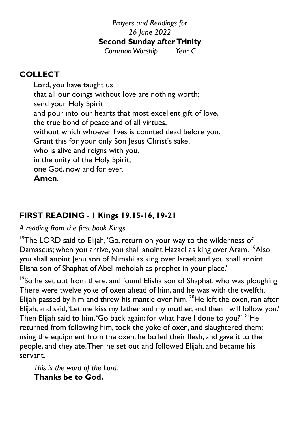# *Prayers and Readings for 26 June 2022* **Second Sunday after Trinity**

*Common Worship Year C*

# **COLLECT**

Lord, you have taught us that all our doings without love are nothing worth: send your Holy Spirit and pour into our hearts that most excellent gift of love, the true bond of peace and of all virtues, without which whoever lives is counted dead before you. Grant this for your only Son Jesus Christ's sake, who is alive and reigns with you, in the unity of the Holy Spirit, one God, now and for ever. **Amen**.

# **FIRST READING** *-* **1 Kings 19.15-16, 19-21**

## *A reading from the first book Kings*

<sup>15</sup>The LORD said to Elijah, 'Go, return on your way to the wilderness of Damascus; when you arrive, you shall anoint Hazael as king over Aram. <sup>16</sup>Also you shall anoint Jehu son of Nimshi as king over Israel; and you shall anoint Elisha son of Shaphat of Abel-meholah as prophet in your place.'

<sup>19</sup>So he set out from there, and found Elisha son of Shaphat, who was ploughing There were twelve yoke of oxen ahead of him, and he was with the twelfth. Elijah passed by him and threw his mantle over him.  $20$ He left the oxen, ran after Elijah, and said, 'Let me kiss my father and my mother, and then I will follow you.' Then Elijah said to him, 'Go back again; for what have I done to you?' <sup>21</sup>He returned from following him, took the yoke of oxen, and slaughtered them; using the equipment from the oxen, he boiled their flesh, and gave it to the people, and they ate. Then he set out and followed Elijah, and became his servant.

*This is the word of the Lord.* **Thanks be to God.**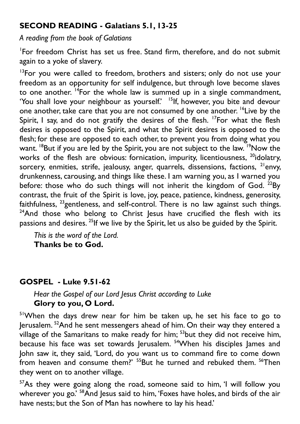## **SECOND READING - Galatians 5.1, 13-25**

*A reading from the book of Galatians*

1 For freedom Christ has set us free. Stand firm, therefore, and do not submit again to a yoke of slavery.

 $13$ For you were called to freedom, brothers and sisters; only do not use your freedom as an opportunity for self indulgence, but through love become slaves to one another.  $14$  For the whole law is summed up in a single commandment, 'You shall love your neighbour as yourself.' <sup>15</sup>If, however, you bite and devour one another, take care that you are not consumed by one another. <sup>16</sup>Live by the Spirit, I say, and do not gratify the desires of the flesh. <sup>17</sup>For what the flesh desires is opposed to the Spirit, and what the Spirit desires is opposed to the flesh; for these are opposed to each other, to prevent you from doing what you want. <sup>18</sup>But if you are led by the Spirit, you are not subject to the law. <sup>19</sup>Now the works of the flesh are obvious: fornication, impurity, licentiousness,  $^{20}$ idolatry, sorcery, enmities, strife, jealousy, anger, quarrels, dissensions, factions,  $2^{1}$ envy, drunkenness, carousing, and things like these. I am warning you, as I warned you before: those who do such things will not inherit the kingdom of God.  $^{22}$ By contrast, the fruit of the Spirit is love, joy, peace, patience, kindness, generosity, faithfulness,  $^{23}$ gentleness, and self-control. There is no law against such things.  $24$ And those who belong to Christ Jesus have crucified the flesh with its passions and desires. <sup>25</sup>If we live by the Spirit, let us also be guided by the Spirit.

 *This is the word of the Lord.* **Thanks be to God.**

## **GOSPEL - Luke 9.51-62**

#### *Hear the Gospel of our Lord Jesus Christ according to Luke* **Glory to you, O Lord.**

<sup>51</sup>When the days drew near for him be taken up, he set his face to go to Jerusalem. <sup>52</sup>And he sent messengers ahead of him. On their way they entered a village of the Samaritans to make ready for him; <sup>53</sup>but they did not receive him, because his face was set towards Jerusalem. <sup>54</sup>When his disciples James and John saw it, they said, 'Lord, do you want us to command fire to come down from heaven and consume them?' <sup>55</sup>But he turned and rebuked them. <sup>56</sup>Then they went on to another village.

<sup>57</sup>As they were going along the road, someone said to him, 'I will follow you wherever you go.' <sup>58</sup>And Jesus said to him, 'Foxes have holes, and birds of the air have nests; but the Son of Man has nowhere to lay his head.'